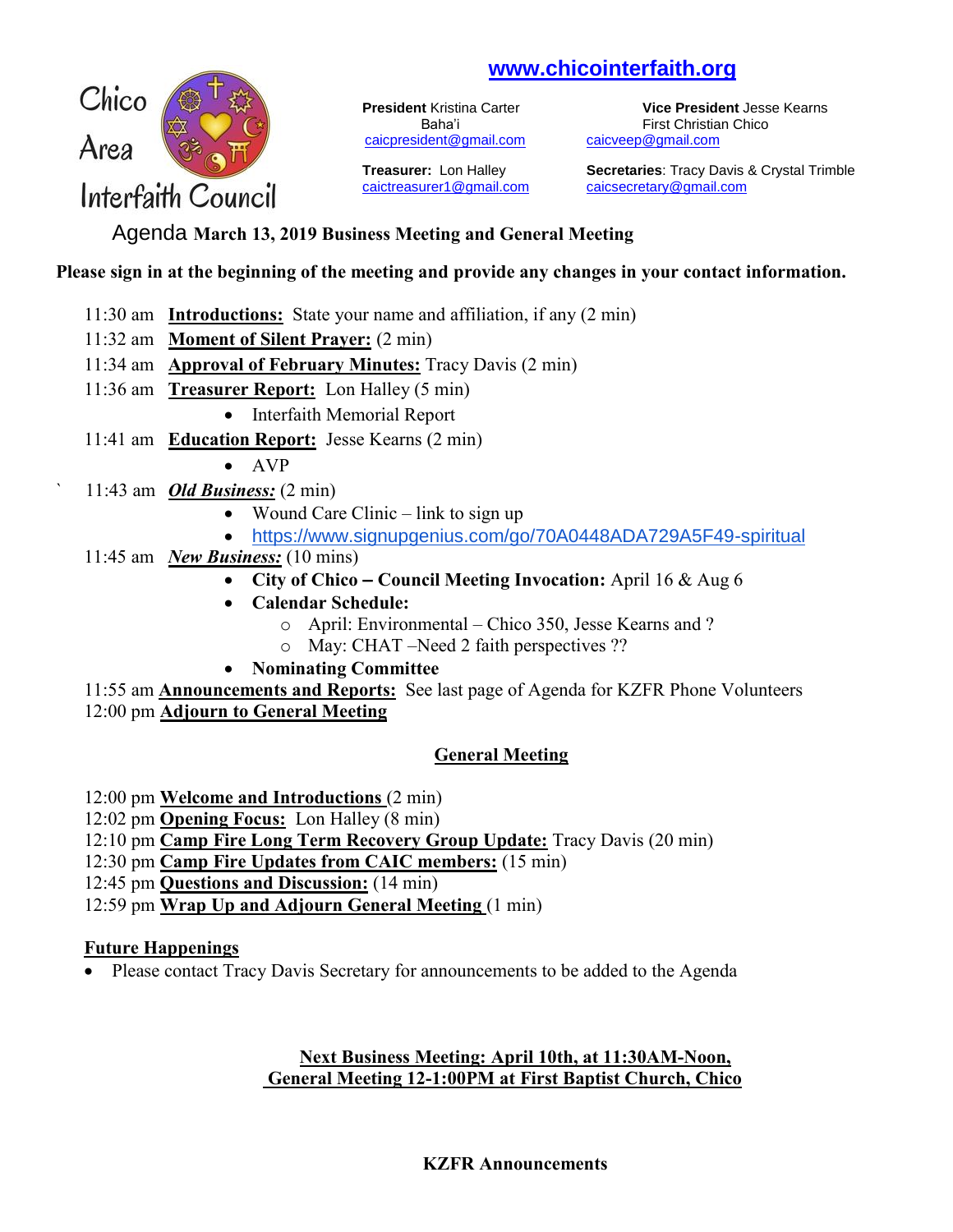# **[www.chicointerfaith.org](file:///C:/Users/CSL/Desktop/CAIC/www.chicointerfaith.org)**



[caicpresident@gmail.com](mailto:caicpresident@gmail.com)

[caictreasurer1@gmail.com](mailto:caictreasurer1@gmail.com) [caicsecretary@gmail.com](mailto:caicsecretary@gmail.com)

**President** Kristina Carter **Vice President** Jesse Kearns Baha'i First Christian Chico<br>
<u>Ident@gmail.com</u> caicveep@gmail.com

**Treasurer:** Lon Halley **Secretaries**: Tracy Davis & Crystal Trimble

# Agenda **March 13, 2019 Business Meeting and General Meeting**

### **Please sign in at the beginning of the meeting and provide any changes in your contact information.**

- 11:30 am **Introductions:** State your name and affiliation, if any (2 min)
- 11:32 am **Moment of Silent Prayer:** (2 min)
- 11:34 am **Approval of February Minutes:** Tracy Davis (2 min)
- 11:36 am **Treasurer Report:** Lon Halley (5 min)
	- Interfaith Memorial Report
- 11:41 am **Education Report:** Jesse Kearns (2 min)
	- $\bullet$  AVP
- ` 11:43 am *Old Business:* (2 min)
	- Wound Care Clinic link to sign up
	- <https://www.signupgenius.com/go/70A0448ADA729A5F49-spiritual>
- 11:45 am *New Business:* (10 mins)
	- **City of Chico – Council Meeting Invocation:** April 16 & Aug 6
	- **Calendar Schedule:**
		- o April: Environmental Chico 350, Jesse Kearns and ?
		- o May: CHAT –Need 2 faith perspectives ??
	- **Nominating Committee**

11:55 am **Announcements and Reports:** See last page of Agenda for KZFR Phone Volunteers 12:00 pm **Adjourn to General Meeting**

## **General Meeting**

12:00 pm **Welcome and Introductions** (2 min)

12:02 pm **Opening Focus:** Lon Halley (8 min)

12:10 pm **Camp Fire Long Term Recovery Group Update:** Tracy Davis (20 min)

12:30 pm **Camp Fire Updates from CAIC members:** (15 min)

- 12:45 pm **Questions and Discussion:** (14 min)
- 12:59 pm **Wrap Up and Adjourn General Meeting** (1 min)

### **Future Happenings**

• Please contact Tracy Davis Secretary for announcements to be added to the Agenda

### **Next Business Meeting: April 10th, at 11:30AM-Noon, General Meeting 12-1:00PM at First Baptist Church, Chico**

#### **KZFR Announcements**